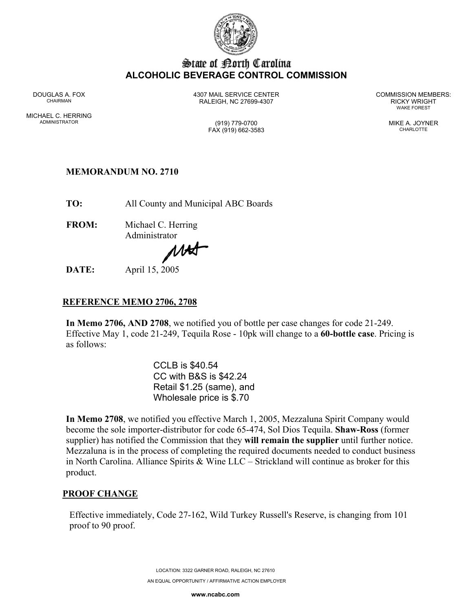

# State of Borth Carolina **ALCOHOLIC BEVERAGE CONTROL COMMISSION**

MICHAEL C. HERRING ADMINISTRATOR (919) 779-0700 MIKE A. JOYNER

DOUGLAS A. FOX 4307 MAIL SERVICE CENTER COMMISSION MEMBERS: CHAIRMAN RALEIGH, NC 27699-4307 RICKY WRIGHT

WAKE FOREST

FAX (919) 662-3583 CHARLOTTE

# **MEMORANDUM NO. 2710**

**TO:** All County and Municipal ABC Boards

**FROM:** Michael C. Herring Administrator

MAS

**DATE:** April 15, 2005

## **REFERENCE MEMO 2706, 2708**

**In Memo 2706, AND 2708**, we notified you of bottle per case changes for code 21-249. Effective May 1, code 21-249, Tequila Rose - 10pk will change to a **60-bottle case**. Pricing is as follows:

> CCLB is \$40.54 CC with B&S is \$42.24 Retail \$1.25 (same), and Wholesale price is \$.70

**In Memo 2708**, we notified you effective March 1, 2005, Mezzaluna Spirit Company would become the sole importer-distributor for code 65-474, Sol Dios Tequila. **Shaw-Ross** (former supplier) has notified the Commission that they **will remain the supplier** until further notice. Mezzaluna is in the process of completing the required documents needed to conduct business in North Carolina. Alliance Spirits & Wine LLC – Strickland will continue as broker for this product.

## **PROOF CHANGE**

Effective immediately, Code 27-162, Wild Turkey Russell's Reserve, is changing from 101 proof to 90 proof.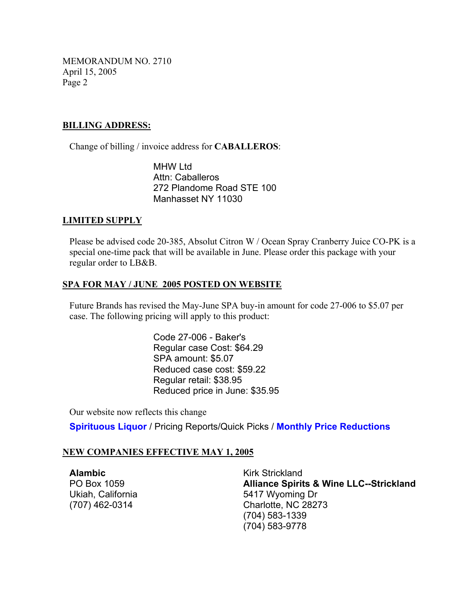MEMORANDUM NO. 2710 April 15, 2005 Page 2

### **BILLING ADDRESS:**

Change of billing / invoice address for **CABALLEROS**:

MHW Ltd Attn: Caballeros 272 Plandome Road STE 100 Manhasset NY 11030

#### **LIMITED SUPPLY**

Please be advised code 20-385, Absolut Citron W / Ocean Spray Cranberry Juice CO-PK is a special one-time pack that will be available in June. Please order this package with your regular order to LB&B.

### **SPA FOR MAY / JUNE 2005 POSTED ON WEBSITE**

Future Brands has revised the May-June SPA buy-in amount for code 27-006 to \$5.07 per case. The following pricing will apply to this product:

> Code 27-006 - Baker's Regular case Cost: \$64.29 SPA amount: \$5.07 Reduced case cost: \$59.22 Regular retail: \$38.95 Reduced price in June: \$35.95

Our website now reflects this change

**Spirituous Liquor** / Pricing Reports/Quick Picks / **Monthly Price Reductions** 

### **NEW COMPANIES EFFECTIVE MAY 1, 2005**

**Alambic** Kirk Strickland

PO Box 1059 **Alliance Spirits & Wine LLC--Strickland**  Ukiah, California 5417 Wyoming Dr (707) 462-0314 Charlotte, NC 28273 (704) 583-1339 (704) 583-9778